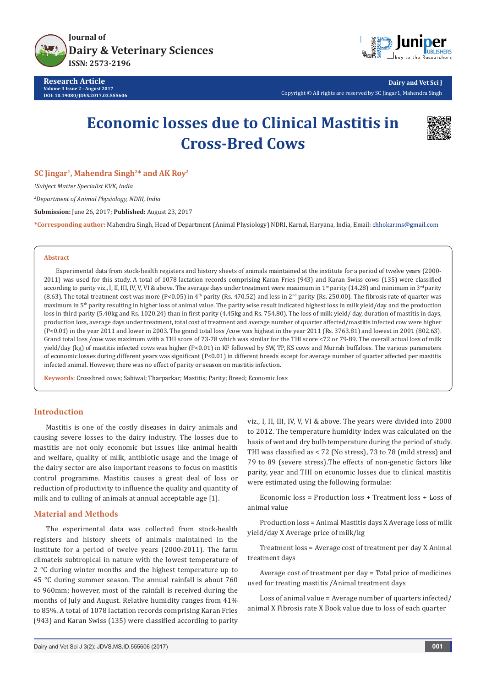

**Research Article Volume 3 Issue 2 - August 2017 DOI: [10.19080/JDVS.2017.03.555606](http://dx.doi.org/10.19080/JDVS.2017.03.555606)**



**Dairy and Vet Sci J** Copyright © All rights are reserved by SC Jingar1, Mahendra Singh

# **Economic losses due to Clinical Mastitis in Cross-Bred Cows**



**SC Jingar1, Mahendra Singh2\* and AK Roy2**

*1 Subject Matter Specialist KVK, India*

*2 Department of Animal Physiology, NDRI, India*

**Submission:** June 26, 2017; **Published:** August 23, 2017

**\*Corresponding author:** Mahendra Singh, Head of Department (Animal Physiology) NDRI, Karnal, Haryana, India, Email:

#### **Abstract**

Experimental data from stock-health registers and history sheets of animals maintained at the institute for a period of twelve years (2000- 2011) was used for this study. A total of 1078 lactation records comprising Karan Fries (943) and Karan Swiss cows (135) were classified according to parity viz., I, II, III, IV, V, VI & above. The average days under treatment were maximum in 1<sup>st</sup> parity (14.28) and minimum in 3<sup>rd</sup> parity (8.63). The total treatment cost was more (P<0.05) in 4<sup>th</sup> parity (Rs. 470.52) and less in 2<sup>nd</sup> parity (Rs. 250.00). The fibrosis rate of quarter was maximum in 5<sup>th</sup> parity resulting in higher loss of animal value. The parity wise result indicated highest loss in milk yield/day and the production loss in third parity (5.40kg and Rs. 1020.24) than in first parity (4.45kg and Rs. 754.80). The loss of milk yield/ day, duration of mastitis in days, production loss, average days under treatment, total cost of treatment and average number of quarter affected/mastitis infected cow were higher (P<0.01) in the year 2011 and lower in 2003. The grand total loss /cow was highest in the year 2011 (Rs. 3763.81) and lowest in 2001 (802.63). Grand total loss /cow was maximum with a THI score of 73-78 which was similar for the THI score <72 or 79-89. The overall actual loss of milk yield/day (kg) of mastitis infected cows was higher (P<0.01) in KF followed by SW, TP, KS cows and Murrah buffaloes. The various parameters of economic losses during different years was significant (P<0.01) in different breeds except for average number of quarter affected per mastitis infected animal. However, there was no effect of parity or season on mastitis infection.

**Keywords**: Crossbred cows; Sahiwal; Tharparkar; Mastitis; Parity; Breed; Economic loss

## **Introduction**

Mastitis is one of the costly diseases in dairy animals and causing severe losses to the dairy industry. The losses due to mastitis are not only economic but issues like animal health and welfare, quality of milk, antibiotic usage and the image of the dairy sector are also important reasons to focus on mastitis control programme. Mastitis causes a great deal of loss or reduction of productivity to influence the quality and quantity of milk and to culling of animals at annual acceptable age [1].

## **Material and Methods**

The experimental data was collected from stock-health registers and history sheets of animals maintained in the institute for a period of twelve years (2000-2011). The farm climateis subtropical in nature with the lowest temperature of 2 °C during winter months and the highest temperature up to 45 °C during summer season. The annual rainfall is about 760 to 960mm; however, most of the rainfall is received during the months of July and August. Relative humidity ranges from 41% to 85%. A total of 1078 lactation records comprising Karan Fries (943) and Karan Swiss (135) were classified according to parity

viz., I, II, III, IV, V, VI & above. The years were divided into 2000 to 2012. The temperature humidity index was calculated on the basis of wet and dry bulb temperature during the period of study. THI was classified as < 72 (No stress), 73 to 78 (mild stress) and 79 to 89 (severe stress).The effects of non-genetic factors like parity, year and THI on economic losses due to clinical mastitis were estimated using the following formulae:

Economic loss = Production loss + Treatment loss + Loss of animal value

Production loss = Animal Mastitis days X Average loss of milk yield/day X Average price of milk/kg

Treatment loss = Average cost of treatment per day X Animal treatment days

Average cost of treatment per day = Total price of medicines used for treating mastitis /Animal treatment days

Loss of animal value = Average number of quarters infected/ animal X Fibrosis rate X Book value due to loss of each quarter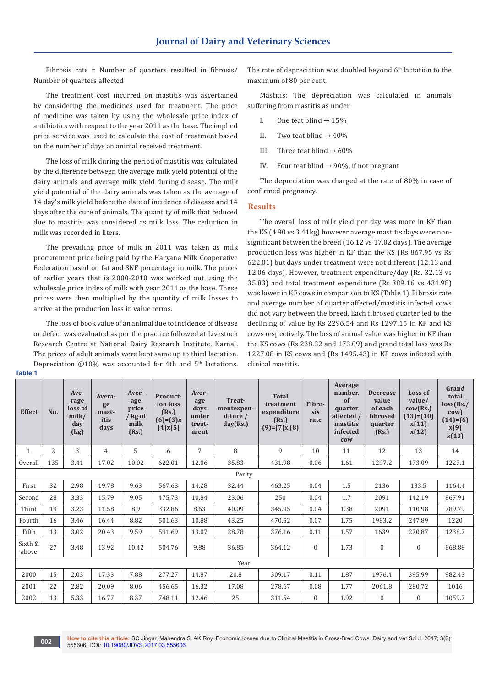Fibrosis rate = Number of quarters resulted in fibrosis/ Number of quarters affected

The treatment cost incurred on mastitis was ascertained by considering the medicines used for treatment. The price of medicine was taken by using the wholesale price index of antibiotics with respect to the year 2011 as the base. The implied price service was used to calculate the cost of treatment based on the number of days an animal received treatment.

The loss of milk during the period of mastitis was calculated by the difference between the average milk yield potential of the dairy animals and average milk yield during disease. The milk yield potential of the dairy animals was taken as the average of 14 day's milk yield before the date of incidence of disease and 14 days after the cure of animals. The quantity of milk that reduced due to mastitis was considered as milk loss. The reduction in milk was recorded in liters.

The prevailing price of milk in 2011 was taken as milk procurement price being paid by the Haryana Milk Cooperative Federation based on fat and SNF percentage in milk. The prices of earlier years that is 2000-2010 was worked out using the wholesale price index of milk with year 2011 as the base. These prices were then multiplied by the quantity of milk losses to arrive at the production loss in value terms.

The loss of book value of an animal due to incidence of disease or defect was evaluated as per the practice followed at Livestock Research Centre at National Dairy Research Institute, Karnal. The prices of adult animals were kept same up to third lactation. Depreciation  $\omega$ 10% was accounted for 4th and 5<sup>th</sup> lactations.

The rate of depreciation was doubled beyond  $6<sup>th</sup>$  lactation to the maximum of 80 per cent.

Mastitis: The depreciation was calculated in animals suffering from mastitis as under

- I. One teat blind  $\rightarrow$  15%
- II. Two teat blind  $\rightarrow$  40%
- III. Three teat blind  $\rightarrow 60\%$
- IV. Four teat blind  $\rightarrow$  90%, if not pregnant

The depreciation was charged at the rate of 80% in case of confirmed pregnancy.

#### **Results**

The overall loss of milk yield per day was more in KF than the KS (4.90 vs 3.41kg) however average mastitis days were nonsignificant between the breed (16.12 vs 17.02 days). The average production loss was higher in KF than the KS (Rs 867.95 vs Rs 622.01) but days under treatment were not different (12.13 and 12.06 days). However, treatment expenditure/day (Rs. 32.13 vs 35.83) and total treatment expenditure (Rs 389.16 vs 431.98) was lower in KF cows in comparison to KS (Table 1). Fibrosis rate and average number of quarter affected/mastitis infected cows did not vary between the breed. Each fibrosed quarter led to the declining of value by Rs 2296.54 and Rs 1297.15 in KF and KS cows respectively. The loss of animal value was higher in KF than the KS cows (Rs 238.32 and 173.09) and grand total loss was Rs 1227.08 in KS cows and (Rs 1495.43) in KF cows infected with clinical mastitis.

|  | × | ×<br>۰, |  |
|--|---|---------|--|
|  |   |         |  |

| Average<br>number.<br>Loss of<br>Ave-<br>Aver-<br><b>Decrease</b><br>Aver-<br>Product-<br><b>Total</b><br>Avera-<br>of<br>value<br>value/<br>Treat-<br>rage<br>age<br>age<br>Fibro-<br>ion loss<br>treatment<br>ge<br>loss of<br>of each<br>price<br>$\text{cow}(Rs.)$<br>mentexpen-<br>quarter<br>days<br>sis<br>(Rs.)<br><b>Effect</b><br>No.<br>expenditure<br>mast-<br>milk/<br>/ kg of<br>under<br>affected /<br>fibrosed<br>$(13)=(10)$<br>diture /<br>itis<br>$(6)=(3)x$<br>(Rs.)<br>rate<br>milk<br>day(Rs.)<br>mastitis<br>x(11)<br>day<br>treat-<br>quarter<br>days<br>$(9)=(7)x(8)$<br>$(4)$ x $(5)$<br>(Rs.)<br>x(12)<br>infected<br>(kg)<br>(Rs.)<br>ment<br>cow | total<br>loss(Rs.<br>$\text{row}$ )<br>$(14)=(6)$<br>x(9)<br>x(13) |  |  |  |  |  |  |  |  |  |
|-------------------------------------------------------------------------------------------------------------------------------------------------------------------------------------------------------------------------------------------------------------------------------------------------------------------------------------------------------------------------------------------------------------------------------------------------------------------------------------------------------------------------------------------------------------------------------------------------------------------------------------------------------------------------------|--------------------------------------------------------------------|--|--|--|--|--|--|--|--|--|
| 3<br>$\overline{7}$<br>8<br>$\overline{2}$<br>5<br>9<br>6<br>10<br>4<br>12<br>13<br>$\mathbf{1}$<br>11                                                                                                                                                                                                                                                                                                                                                                                                                                                                                                                                                                        | 14                                                                 |  |  |  |  |  |  |  |  |  |
| 135<br>35.83<br>3.41<br>17.02<br>10.02<br>622.01<br>12.06<br>431.98<br>0.06<br>1297.2<br>173.09<br>Overall<br>1.61                                                                                                                                                                                                                                                                                                                                                                                                                                                                                                                                                            | 1227.1                                                             |  |  |  |  |  |  |  |  |  |
| Parity                                                                                                                                                                                                                                                                                                                                                                                                                                                                                                                                                                                                                                                                        |                                                                    |  |  |  |  |  |  |  |  |  |
| 32<br>14.28<br>2.98<br>19.78<br>9.63<br>567.63<br>32.44<br>463.25<br>0.04<br>1.5<br>2136<br>133.5<br>First                                                                                                                                                                                                                                                                                                                                                                                                                                                                                                                                                                    | 1164.4                                                             |  |  |  |  |  |  |  |  |  |
| 28<br>3.33<br>15.79<br>475.73<br>23.06<br>250<br>1.7<br>9.05<br>10.84<br>0.04<br>2091<br>142.19<br>Second                                                                                                                                                                                                                                                                                                                                                                                                                                                                                                                                                                     | 867.91                                                             |  |  |  |  |  |  |  |  |  |
| 19<br>3.23<br>11.58<br>8.9<br>332.86<br>8.63<br>40.09<br>0.04<br>110.98<br>Third<br>345.95<br>1.38<br>2091                                                                                                                                                                                                                                                                                                                                                                                                                                                                                                                                                                    | 789.79                                                             |  |  |  |  |  |  |  |  |  |
| 16<br>3.46<br>16.44<br>8.82<br>10.88<br>0.07<br>1983.2<br>501.63<br>43.25<br>470.52<br>1.75<br>247.89<br>Fourth                                                                                                                                                                                                                                                                                                                                                                                                                                                                                                                                                               | 1220                                                               |  |  |  |  |  |  |  |  |  |
| 13<br>3.02<br>20.43<br>9.59<br>13.07<br>28.78<br>1639<br>Fifth<br>591.69<br>376.16<br>0.11<br>1.57<br>270.87                                                                                                                                                                                                                                                                                                                                                                                                                                                                                                                                                                  | 1238.7                                                             |  |  |  |  |  |  |  |  |  |
| Sixth &<br>27<br>3.48<br>13.92<br>10.42<br>9.88<br>$\overline{0}$<br>$\boldsymbol{0}$<br>$\boldsymbol{0}$<br>504.76<br>36.85<br>364.12<br>1.73<br>above                                                                                                                                                                                                                                                                                                                                                                                                                                                                                                                       | 868.88                                                             |  |  |  |  |  |  |  |  |  |
| Year                                                                                                                                                                                                                                                                                                                                                                                                                                                                                                                                                                                                                                                                          |                                                                    |  |  |  |  |  |  |  |  |  |
| 17.33<br>2000<br>15<br>2.03<br>7.88<br>277.27<br>14.87<br>20.8<br>1976.4<br>395.99<br>309.17<br>0.11<br>1.87                                                                                                                                                                                                                                                                                                                                                                                                                                                                                                                                                                  | 982.43                                                             |  |  |  |  |  |  |  |  |  |
| 22<br>2.82<br>16.32<br>17.08<br>278.67<br>280.72<br>2001<br>20.09<br>8.06<br>456.65<br>0.08<br>1.77<br>2061.8                                                                                                                                                                                                                                                                                                                                                                                                                                                                                                                                                                 | 1016                                                               |  |  |  |  |  |  |  |  |  |
| 13<br>5.33<br>2002<br>16.77<br>8.37<br>748.11<br>12.46<br>25<br>$\overline{0}$<br>$\boldsymbol{0}$<br>311.54<br>1.92<br>$\bf{0}$                                                                                                                                                                                                                                                                                                                                                                                                                                                                                                                                              | 1059.7                                                             |  |  |  |  |  |  |  |  |  |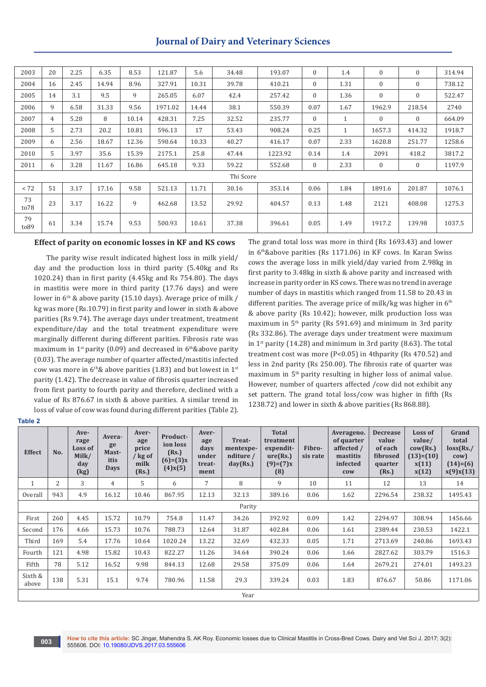## **Journal of Dairy and Veterinary Sciences**

| 2003        | 20 | 2.25 | 6.35  | 8.53  | 121.87  | 5.6   | 34.48     | 193.07  | $\mathbf{0}$ | 1.4          | $\mathbf{0}$     | $\overline{0}$   | 314.94 |
|-------------|----|------|-------|-------|---------|-------|-----------|---------|--------------|--------------|------------------|------------------|--------|
| 2004        | 16 | 2.45 | 14.94 | 8.96  | 327.91  | 10.31 | 39.78     | 410.21  | $\mathbf{0}$ | 1.31         | $\mathbf{0}$     | $\boldsymbol{0}$ | 738.12 |
| 2005        | 14 | 3.1  | 9.5   | 9     | 265.05  | 6.07  | 42.4      | 257.42  | $\Omega$     | 1.36         | $\overline{0}$   | $\boldsymbol{0}$ | 522.47 |
| 2006        | 9  | 6.58 | 31.33 | 9.56  | 1971.02 | 14.44 | 38.1      | 550.39  | 0.07         | 1.67         | 1962.9           | 218.54           | 2740   |
| 2007        | 4  | 5.28 | 8     | 10.14 | 428.31  | 7.25  | 32.52     | 235.77  | $\mathbf{0}$ | $\mathbf{1}$ | $\overline{0}$   | $\overline{0}$   | 664.09 |
| 2008        | 5  | 2.73 | 20.2  | 10.81 | 596.13  | 17    | 53.43     | 908.24  | 0.25         | $\mathbf{1}$ | 1657.3           | 414.32           | 1918.7 |
| 2009        | 6  | 2.56 | 18.67 | 12.36 | 590.64  | 10.33 | 40.27     | 416.17  | 0.07         | 2.33         | 1620.8           | 251.77           | 1258.6 |
| 2010        | 5  | 3.97 | 35.6  | 15.39 | 2175.1  | 25.8  | 47.44     | 1223.92 | 0.14         | 1.4          | 2091             | 418.2            | 3817.2 |
| 2011        | 6  | 3.28 | 11.67 | 16.86 | 645.18  | 9.33  | 59.22     | 552.68  | $\mathbf{0}$ | 2.33         | $\boldsymbol{0}$ | $\boldsymbol{0}$ | 1197.9 |
|             |    |      |       |       |         |       | Thi Score |         |              |              |                  |                  |        |
| < 72        | 51 | 3.17 | 17.16 | 9.58  | 521.13  | 11.71 | 30.16     | 353.14  | 0.06         | 1.84         | 1891.6           | 201.87           | 1076.1 |
| 73<br>to78  | 23 | 3.17 | 16.22 | 9     | 462.68  | 13.52 | 29.92     | 404.57  | 0.13         | 1.48         | 2121             | 408.08           | 1275.3 |
| 79<br>to 89 | 61 | 3.34 | 15.74 | 9.53  | 500.93  | 10.61 | 37.38     | 396.61  | 0.05         | 1.49         | 1917.2           | 139.98           | 1037.5 |

#### **Effect of parity on economic losses in KF and KS cows**

The parity wise result indicated highest loss in milk yield/ day and the production loss in third parity (5.40kg and Rs 1020.24) than in first parity (4.45kg and Rs 754.80). The days in mastitis were more in third parity (17.76 days) and were lower in 6<sup>th</sup> & above parity (15.10 days). Average price of milk / kg was more (Rs.10.79) in first parity and lower in sixth & above parities (Rs 9.74). The average days under treatment, treatment expenditure/day and the total treatment expenditure were marginally different during different parities. Fibrosis rate was maximum in  $1<sup>st</sup>$  parity (0.09) and decreased in  $6<sup>th</sup>$ &above parity (0.03). The average number of quarter affected/mastitis infected cow was more in  $6<sup>th</sup>$ & above parities (1.83) and but lowest in 1<sup>st</sup> parity (1.42). The decrease in value of fibrosis quarter increased from first parity to fourth parity and therefore, declined with a value of Rs 876.67 in sixth & above parities. A similar trend in loss of value of cow was found during different parities (Table 2).

The grand total loss was more in third (Rs 1693.43) and lower in 6th&above parities (Rs 1171.06) in KF cows. In Karan Swiss cows the average loss in milk yield/day varied from 2.98kg in first parity to 3.48kg in sixth & above parity and increased with increase in parity order in KS cows. There was no trend in average number of days in mastitis which ranged from 11.58 to 20.43 in different parities. The average price of milk/kg was higher in  $6<sup>th</sup>$ & above parity (Rs 10.42); however, milk production loss was maximum in 5th parity (Rs 591.69) and minimum in 3rd parity (Rs 332.86). The average days under treatment were maximum in  $1<sup>st</sup>$  parity (14.28) and minimum in 3rd parity (8.63). The total treatment cost was more (P<0.05) in 4thparity (Rs 470.52) and less in 2nd parity (Rs 250.00). The fibrosis rate of quarter was maximum in 5<sup>th</sup> parity resulting in higher loss of animal value. However, number of quarters affected /cow did not exhibit any set pattern. The grand total loss/cow was higher in fifth (Rs 1238.72) and lower in sixth & above parities (Rs 868.88).

#### **Table 2**

| <b>Effect</b>    | No.            | Ave-<br>rage<br>Loss of<br>Milk/<br>day<br>(kg) | Avera-<br>ge<br>Mast-<br>itis<br><b>Days</b> | Aver-<br>age<br>price<br>/ kg of<br>milk<br>(Rs.) | Product-<br>ion loss<br>(Rs.)<br>$(6)=(3)x$<br>$(4)$ x $(5)$ | Aver-<br>age<br>days<br>under<br>treat-<br>ment | Treat-<br>mentexpe-<br>nditure /<br>day(Rs.) | <b>Total</b><br>treatment<br>expendit-<br>ure(Rs.)<br>$(9)=(7)x$<br>(8) | Fibro-<br>sis rate | Averageno.<br>of quarter<br>affected /<br>mastitis<br>infected<br><b>COW</b> | <b>Decrease</b><br>value<br>of each<br>fibrosed<br>quarter<br>(Rs.) | Loss of<br>value/<br>$\text{cow}(Rs.)$<br>$(13)=(10)$<br>x(11)<br>x(12) | Grand<br>total<br>$loss$ (Rs./<br>$\text{row}$<br>$(14)=(6)$<br>x(9)x(13) |
|------------------|----------------|-------------------------------------------------|----------------------------------------------|---------------------------------------------------|--------------------------------------------------------------|-------------------------------------------------|----------------------------------------------|-------------------------------------------------------------------------|--------------------|------------------------------------------------------------------------------|---------------------------------------------------------------------|-------------------------------------------------------------------------|---------------------------------------------------------------------------|
| $\mathbf{1}$     | $\overline{2}$ | 3                                               | $\overline{4}$                               | 5                                                 | 6                                                            | 7                                               | 8                                            | 9                                                                       | 10                 | 11                                                                           | 12                                                                  | 13                                                                      | 14                                                                        |
| Overall          | 943            | 4.9                                             | 16.12                                        | 10.46                                             | 867.95                                                       | 12.13                                           | 32.13                                        | 389.16                                                                  | 0.06               | 1.62                                                                         | 2296.54                                                             | 238.32                                                                  | 1495.43                                                                   |
|                  | Parity         |                                                 |                                              |                                                   |                                                              |                                                 |                                              |                                                                         |                    |                                                                              |                                                                     |                                                                         |                                                                           |
| First            | 260            | 4.45                                            | 15.72                                        | 10.79                                             | 754.8                                                        | 11.47                                           | 34.26                                        | 392.92                                                                  | 0.09               | 1.42                                                                         | 2294.97                                                             | 308.94                                                                  | 1456.66                                                                   |
| Second           | 176            | 4.66                                            | 15.73                                        | 10.76                                             | 788.73                                                       | 12.64                                           | 31.87                                        | 402.84                                                                  | 0.06               | 1.61                                                                         | 2389.44                                                             | 230.53                                                                  | 1422.1                                                                    |
| Third            | 169            | 5.4                                             | 17.76                                        | 10.64                                             | 1020.24                                                      | 13.22                                           | 32.69                                        | 432.33                                                                  | 0.05               | 1.71                                                                         | 2713.69                                                             | 240.86                                                                  | 1693.43                                                                   |
| Fourth           | 121            | 4.98                                            | 15.82                                        | 10.43                                             | 822.27                                                       | 11.26                                           | 34.64                                        | 390.24                                                                  | 0.06               | 1.66                                                                         | 2827.62                                                             | 303.79                                                                  | 1516.3                                                                    |
| Fifth            | 78             | 5.12                                            | 16.52                                        | 9.98                                              | 844.13                                                       | 12.68                                           | 29.58                                        | 375.09                                                                  | 0.06               | 1.64                                                                         | 2679.21                                                             | 274.01                                                                  | 1493.23                                                                   |
| Sixth &<br>above | 138            | 5.31                                            | 15.1                                         | 9.74                                              | 780.96                                                       | 11.58                                           | 29.3                                         | 339.24                                                                  | 0.03               | 1.83                                                                         | 876.67                                                              | 50.86                                                                   | 1171.06                                                                   |
|                  |                |                                                 |                                              |                                                   |                                                              |                                                 | Year                                         |                                                                         |                    |                                                                              |                                                                     |                                                                         |                                                                           |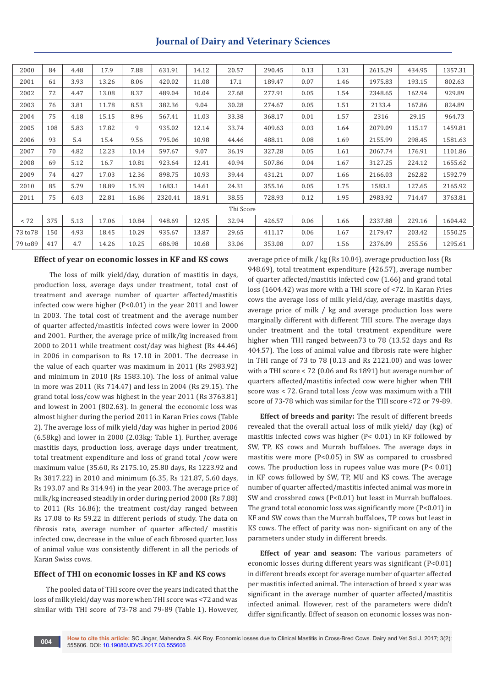| <b>Journal of Dairy and Veterinary Sciences</b> |
|-------------------------------------------------|
|-------------------------------------------------|

| 2000      | 84  | 4.48 | 17.9  | 7.88  | 631.91  | 14.12 | 20.57 | 290.45 | 0.13 | 1.31 | 2615.29 | 434.95 | 1357.31 |
|-----------|-----|------|-------|-------|---------|-------|-------|--------|------|------|---------|--------|---------|
| 2001      | 61  | 3.93 | 13.26 | 8.06  | 420.02  | 11.08 | 17.1  | 189.47 | 0.07 | 1.46 | 1975.83 | 193.15 | 802.63  |
| 2002      | 72  | 4.47 | 13.08 | 8.37  | 489.04  | 10.04 | 27.68 | 277.91 | 0.05 | 1.54 | 2348.65 | 162.94 | 929.89  |
| 2003      | 76  | 3.81 | 11.78 | 8.53  | 382.36  | 9.04  | 30.28 | 274.67 | 0.05 | 1.51 | 2133.4  | 167.86 | 824.89  |
| 2004      | 75  | 4.18 | 15.15 | 8.96  | 567.41  | 11.03 | 33.38 | 368.17 | 0.01 | 1.57 | 2316    | 29.15  | 964.73  |
| 2005      | 108 | 5.83 | 17.82 | 9     | 935.02  | 12.14 | 33.74 | 409.63 | 0.03 | 1.64 | 2079.09 | 115.17 | 1459.81 |
| 2006      | 93  | 5.4  | 15.4  | 9.56  | 795.06  | 10.98 | 44.46 | 488.11 | 0.08 | 1.69 | 2155.99 | 298.45 | 1581.63 |
| 2007      | 70  | 4.82 | 12.23 | 10.14 | 597.67  | 9.07  | 36.19 | 327.28 | 0.05 | 1.61 | 2067.74 | 176.91 | 1101.86 |
| 2008      | 69  | 5.12 | 16.7  | 10.81 | 923.64  | 12.41 | 40.94 | 507.86 | 0.04 | 1.67 | 3127.25 | 224.12 | 1655.62 |
| 2009      | 74  | 4.27 | 17.03 | 12.36 | 898.75  | 10.93 | 39.44 | 431.21 | 0.07 | 1.66 | 2166.03 | 262.82 | 1592.79 |
| 2010      | 85  | 5.79 | 18.89 | 15.39 | 1683.1  | 14.61 | 24.31 | 355.16 | 0.05 | 1.75 | 1583.1  | 127.65 | 2165.92 |
| 2011      | 75  | 6.03 | 22.81 | 16.86 | 2320.41 | 18.91 | 38.55 | 728.93 | 0.12 | 1.95 | 2983.92 | 714.47 | 3763.81 |
| Thi Score |     |      |       |       |         |       |       |        |      |      |         |        |         |
| < 72      | 375 | 5.13 | 17.06 | 10.84 | 948.69  | 12.95 | 32.94 | 426.57 | 0.06 | 1.66 | 2337.88 | 229.16 | 1604.42 |
| 73 to 78  | 150 | 4.93 | 18.45 | 10.29 | 935.67  | 13.87 | 29.65 | 411.17 | 0.06 | 1.67 | 2179.47 | 203.42 | 1550.25 |
| 79 to 89  | 417 | 4.7  | 14.26 | 10.25 | 686.98  | 10.68 | 33.06 | 353.08 | 0.07 | 1.56 | 2376.09 | 255.56 | 1295.61 |
|           |     |      |       |       |         |       |       |        |      |      |         |        |         |

## **Effect of year on economic losses in KF and KS cows**

 The loss of milk yield/day, duration of mastitis in days, production loss, average days under treatment, total cost of treatment and average number of quarter affected/mastitis infected cow were higher (P<0.01) in the year 2011 and lower in 2003. The total cost of treatment and the average number of quarter affected/mastitis infected cows were lower in 2000 and 2001. Further, the average price of milk/kg increased from 2000 to 2011 while treatment cost/day was highest (Rs 44.46) in 2006 in comparison to Rs 17.10 in 2001. The decrease in the value of each quarter was maximum in 2011 (Rs 2983.92) and minimum in 2010 (Rs 1583.10). The loss of animal value in more was 2011 (Rs 714.47) and less in 2004 (Rs 29.15). The grand total loss/cow was highest in the year 2011 (Rs 3763.81) and lowest in 2001 (802.63). In general the economic loss was almost higher during the period 2011 in Karan Fries cows (Table 2). The average loss of milk yield/day was higher in period 2006 (6.58kg) and lower in 2000 (2.03kg; Table 1). Further, average mastitis days, production loss, average days under treatment, total treatment expenditure and loss of grand total /cow were maximum value (35.60, Rs 2175.10, 25.80 days, Rs 1223.92 and Rs 3817.22) in 2010 and minimum (6.35, Rs 121.87, 5.60 days, Rs 193.07 and Rs 314.94) in the year 2003. The average price of milk/kg increased steadily in order during period 2000 (Rs 7.88) to 2011 (Rs 16.86); the treatment cost/day ranged between Rs 17.08 to Rs 59.22 in different periods of study. The data on fibrosis rate, average number of quarter affected/ mastitis infected cow, decrease in the value of each fibrosed quarter, loss of animal value was consistently different in all the periods of Karan Swiss cows.

## **Effect of THI on economic losses in KF and KS cows**

The pooled data of THI score over the years indicated that the loss of milk yield/day was more when THI score was <72 and was similar with THI score of 73-78 and 79-89 (Table 1). However, average price of milk / kg (Rs 10.84), average production loss (Rs 948.69), total treatment expenditure (426.57), average number of quarter affected/mastitis infected cow (1.66) and grand total loss (1604.42) was more with a THI score of <72. In Karan Fries cows the average loss of milk yield/day, average mastitis days, average price of milk / kg and average production loss were marginally different with different THI score. The average days under treatment and the total treatment expenditure were higher when THI ranged between73 to 78 (13.52 days and Rs 404.57). The loss of animal value and fibrosis rate were higher in THI range of 73 to 78 (0.13 and Rs 2121.00) and was lower with a THI score < 72 (0.06 and Rs 1891) but average number of quarters affected/mastitis infected cow were higher when THI score was < 72. Grand total loss /cow was maximum with a THI score of 73-78 which was similar for the THI score <72 or 79-89.

**Effect of breeds and parity:** The result of different breeds revealed that the overall actual loss of milk yield/ day (kg) of mastitis infected cows was higher (P< 0.01) in KF followed by SW, TP, KS cows and Murrah buffaloes. The average days in mastitis were more (P<0.05) in SW as compared to crossbred cows. The production loss in rupees value was more (P< 0.01) in KF cows followed by SW, TP, MU and KS cows. The average number of quarter affected/mastitis infected animal was more in SW and crossbred cows (P<0.01) but least in Murrah buffaloes. The grand total economic loss was significantly more (P<0.01) in KF and SW cows than the Murrah buffaloes, TP cows but least in KS cows. The effect of parity was non- significant on any of the parameters under study in different breeds.

**Effect of year and season:** The various parameters of economic losses during different years was significant (P<0.01) in different breeds except for average number of quarter affected per mastitis infected animal. The interaction of breed x year was significant in the average number of quarter affected/mastitis infected animal. However, rest of the parameters were didn't differ significantly. Effect of season on economic losses was non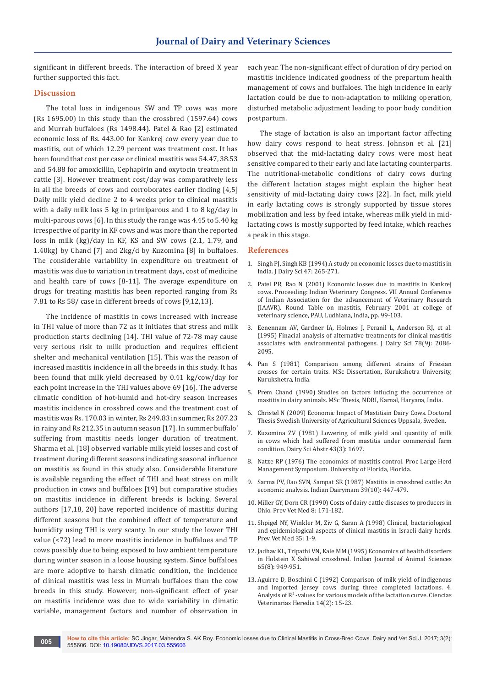significant in different breeds. The interaction of breed X year further supported this fact.

### **Discussion**

The total loss in indigenous SW and TP cows was more (Rs 1695.00) in this study than the crossbred (1597.64) cows and Murrah buffaloes (Rs 1498.44). Patel & Rao [2] estimated economic loss of Rs. 443.00 for Kankrej cow every year due to mastitis, out of which 12.29 percent was treatment cost. It has been found that cost per case or clinical mastitis was 54.47, 38.53 and 54.88 for amoxicillin, Cephapirin and oxytocin treatment in cattle [3]. However treatment cost/day was comparatively less in all the breeds of cows and corroborates earlier finding [4,5] Daily milk yield decline 2 to 4 weeks prior to clinical mastitis with a daily milk loss 5 kg in primiparous and 1 to 8 kg/day in multi-parous cows [6]. In this study the range was 4.45 to 5.40 kg irrespective of parity in KF cows and was more than the reported loss in milk (kg)/day in KF, KS and SW cows (2.1, 1.79, and 1.40kg) by Chand [7] and 2kg/d by Kuzomina [8] in buffaloes. The considerable variability in expenditure on treatment of mastitis was due to variation in treatment days, cost of medicine and health care of cows [8-11]. The average expenditure on drugs for treating mastitis has been reported ranging from Rs 7.81 to Rs 58/ case in different breeds of cows [9,12,13].

The incidence of mastitis in cows increased with increase in THI value of more than 72 as it initiates that stress and milk production starts declining [14]. THI value of 72-78 may cause very serious risk to milk production and requires efficient shelter and mechanical ventilation [15]. This was the reason of increased mastitis incidence in all the breeds in this study. It has been found that milk yield decreased by 0.41 kg/cow/day for each point increase in the THI values above 69 [16]. The adverse climatic condition of hot-humid and hot-dry season increases mastitis incidence in crossbred cows and the treatment cost of mastitis was Rs. 170.03 in winter, Rs 249.83 in summer, Rs 207.23 in rainy and Rs 212.35 in autumn season [17]. In summer buffalo' suffering from mastitis needs longer duration of treatment. Sharma et al. [18] observed variable milk yield losses and cost of treatment during different seasons indicating seasonal influence on mastitis as found in this study also. Considerable literature is available regarding the effect of THI and heat stress on milk production in cows and buffaloes [19] but comparative studies on mastitis incidence in different breeds is lacking. Several authors [17,18, 20] have reported incidence of mastitis during different seasons but the combined effect of temperature and humidity using THI is very scanty. In our study the lower THI value (<72) lead to more mastitis incidence in buffaloes and TP cows possibly due to being exposed to low ambient temperature during winter season in a loose housing system. Since buffaloes are more adoptive to harsh climatic condition, the incidence of clinical mastitis was less in Murrah buffaloes than the cow breeds in this study. However, non-significant effect of year on mastitis incidence was due to wide variability in climatic variable, management factors and number of observation in

each year. The non-significant effect of duration of dry period on mastitis incidence indicated goodness of the prepartum health management of cows and buffaloes. The high incidence in early lactation could be due to non-adaptation to milking operation, disturbed metabolic adjustment leading to poor body condition postpartum.

The stage of lactation is also an important factor affecting how dairy cows respond to heat stress. Johnson et al. [21] observed that the mid-lactating dairy cows were most heat sensitive compared to their early and late lactating counterparts. The nutritional-metabolic conditions of dairy cows during the different lactation stages might explain the higher heat sensitivity of mid-lactating dairy cows [22]. In fact, milk yield in early lactating cows is strongly supported by tissue stores mobilization and less by feed intake, whereas milk yield in midlactating cows is mostly supported by feed intake, which reaches a peak in this stage.

#### **References**

- 1. Singh PJ, Singh KB (1994) A study on economic losses due to mastitis in India. J Dairy Sci 47: 265-271.
- 2. Patel PR, Rao N (2001) Economic losses due to mastitis in Kankrej cows. Proceeding: Indian Veterinary Congress. VII Annual Conference of Indian Association for the advancement of Veterinary Research (IAAVR). Round Table on mastitis, February 2001 at college of veterinary science, PAU, Ludhiana, India, pp. 99-103.
- 3. [Eenennam AV, Gardner IA, Holmes J, Peranil L, Anderson RJ, et al.](https://www.ncbi.nlm.nih.gov/pubmed/8550918)  [\(1995\) Finacial analysis of alternative treatments for clinical mastitis](https://www.ncbi.nlm.nih.gov/pubmed/8550918)  [associates with environmental pathogens. J Dairy Sci 78\(9\): 2086-](https://www.ncbi.nlm.nih.gov/pubmed/8550918) [2095.](https://www.ncbi.nlm.nih.gov/pubmed/8550918)
- 4. Pan S (1981) Comparison among different strains of Friesian crosses for certain traits. MSc Dissertation, Kurukshetra University, Kurukshetra, India.
- 5. Prem Chand (1990) Studies on factors influcing the occurrence of mastitis in dairy animals. MSc Thesis, NDRI, Karnal, Haryana, India.
- 6. [Christel N \(2009\) Economic Impact of Mastitisin Dairy Cows. Doctoral](https://pub.epsilon.slu.se/1968/1/Christel_Nielsen_kappa.pdf)  [Thesis Swedish University of Agricultural Sciences Uppsala, Sweden.](https://pub.epsilon.slu.se/1968/1/Christel_Nielsen_kappa.pdf)
- 7. Kuzomina ZV (1981) Lowering of milk yield and quantity of milk in cows which had suffered from mastitis under commercial farm condition. Dairy Sci Abstr 43(3): 1697.
- 8. Natze RP (1976) The economics of mastitis control. Proc Large Herd Management Symposium. University of Florida, Florida.
- 9. Sarma PV, Rao SVN, Sampat SR (1987) Mastitis in crossbred cattle: An economic analysis. Indian Dairymam 39(10): 447-479.
- 10. Miller GY, Dorn CR (1990) Costs of dairy cattle diseases to producers in Ohio. Prev Vet Med 8: 171-182.
- 11. [Shpigel NY, Winkler M, Ziv G, Saran A \(1998\) Clinical, bacteriological](https://www.ncbi.nlm.nih.gov/pubmed/9638775)  [and epidemiological aspects of clinical mastitis in Israeli dairy herds.](https://www.ncbi.nlm.nih.gov/pubmed/9638775)  [Prev Vet Med 35: 1-9.](https://www.ncbi.nlm.nih.gov/pubmed/9638775)
- 12. Jadhav KL, Tripathi VN, Kale MM (1995) Economics of health disorders in Holstein X Sahiwal crossbred. Indian Journal of Animal Sciences 65(8): 949-951.
- 13. Aguirre D, Boschini C (1992) Comparison of milk yield of indigenous and imported Jersey cows during three completed lactations. 4. Analysis of  $\mathbb{R}^2$  -values for various models of the lactation curve. Ciencias Veterinarias Heredia 14(2): 15-23.